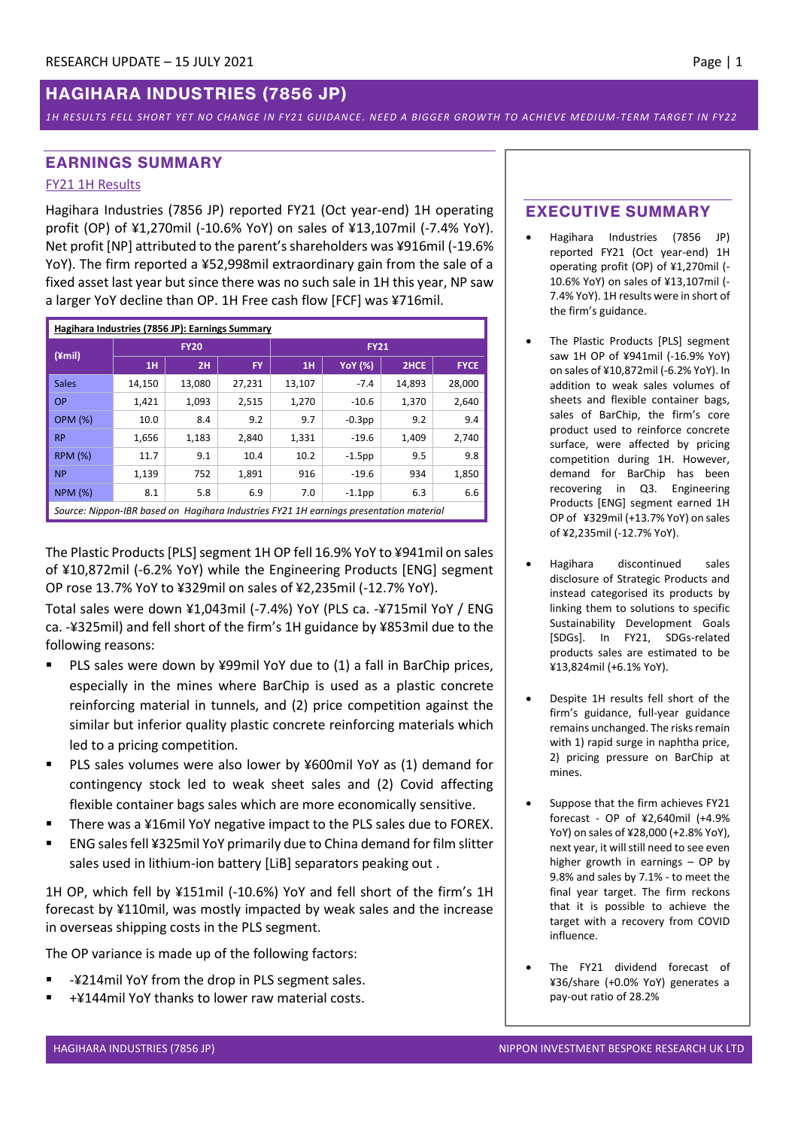#### *1H RESULTS FELL SHORT YET NO CHANGE IN FY21 GUIDANCE . NEED A BIGGER GROWTH TO ACHIEVE MEDIUM-TERM TARGET IN FY22*

## **EARNINGS SUMMARY**

### FY21 1H Results

Hagihara Industries (7856 JP) reported FY21 (Oct year-end) 1H operating profit (OP) of ¥1,270mil (-10.6% YoY) on sales of ¥13,107mil (-7.4% YoY). Net profit [NP] attributed to the parent's shareholders was ¥916mil (-19.6% YoY). The firm reported a ¥52,998mil extraordinary gain from the sale of a fixed asset last year but since there was no such sale in 1H this year, NP saw a larger YoY decline than OP. 1H Free cash flow [FCF] was ¥716mil.

| Hagihara Industries (7856 JP): Earnings Summary                                        |        |             |           |             |                |        |             |  |  |
|----------------------------------------------------------------------------------------|--------|-------------|-----------|-------------|----------------|--------|-------------|--|--|
| $(\angle \text{mill})$                                                                 |        | <b>FY20</b> |           | <b>FY21</b> |                |        |             |  |  |
|                                                                                        | 1H     | 2H          | <b>FY</b> | 1H          | <b>YoY</b> (%) | 2HCE   | <b>FYCE</b> |  |  |
| <b>Sales</b>                                                                           | 14,150 | 13,080      | 27,231    | 13,107      | $-7.4$         | 14,893 | 28,000      |  |  |
| <b>OP</b>                                                                              | 1.421  | 1,093       | 2,515     | 1,270       | $-10.6$        | 1,370  | 2,640       |  |  |
| <b>OPM (%)</b>                                                                         | 10.0   | 8.4         | 9.2       | 9.7         | $-0.3$ pp      | 9.2    | 9.4         |  |  |
| <b>RP</b>                                                                              | 1,656  | 1,183       | 2,840     | 1,331       | $-19.6$        | 1,409  | 2,740       |  |  |
| <b>RPM (%)</b>                                                                         | 11.7   | 9.1         | 10.4      | 10.2        | $-1.5$ pp      | 9.5    | 9.8         |  |  |
| <b>NP</b>                                                                              | 1,139  | 752         | 1,891     | 916         | $-19.6$        | 934    | 1,850       |  |  |
| <b>NPM (%)</b>                                                                         | 8.1    | 5.8         | 6.9       | 7.0         | $-1.1$ pp      | 6.3    | 6.6         |  |  |
| Source: Nippon-IBR based on Hagihara Industries FY21 1H earnings presentation material |        |             |           |             |                |        |             |  |  |

The Plastic Products [PLS] segment 1H OP fell 16.9% YoY to ¥941mil on sales of ¥10,872mil (-6.2% YoY) while the Engineering Products [ENG] segment OP rose 13.7% YoY to ¥329mil on sales of ¥2,235mil (-12.7% YoY).

Total sales were down ¥1,043mil (-7.4%) YoY (PLS ca. -¥715mil YoY / ENG ca. -¥325mil) and fell short of the firm's 1H guidance by ¥853mil due to the following reasons:

- PLS sales were down by ¥99mil YoY due to (1) a fall in BarChip prices, especially in the mines where BarChip is used as a plastic concrete reinforcing material in tunnels, and (2) price competition against the similar but inferior quality plastic concrete reinforcing materials which led to a pricing competition.
- PLS sales volumes were also lower by ¥600mil YoY as (1) demand for contingency stock led to weak sheet sales and (2) Covid affecting flexible container bags sales which are more economically sensitive.
- There was a ¥16mil YoY negative impact to the PLS sales due to FOREX.
- ENG sales fell ¥325mil YoY primarily due to China demand for film slitter sales used in lithium-ion battery [LiB] separators peaking out .

1H OP, which fell by ¥151mil (-10.6%) YoY and fell short of the firm's 1H forecast by ¥110mil, was mostly impacted by weak sales and the increase in overseas shipping costs in the PLS segment.

The OP variance is made up of the following factors:

- -¥214mil YoY from the drop in PLS segment sales.
- +¥144mil YoY thanks to lower raw material costs.

# **EXECUTIVE SUMMARY**

- Hagihara Industries (7856 JP) reported FY21 (Oct year-end) 1H operating profit (OP) of ¥1,270mil (- 10.6% YoY) on sales of ¥13,107mil (- 7.4% YoY). 1H results were in short of the firm's guidance.
- The Plastic Products [PLS] segment saw 1H OP of ¥941mil (-16.9% YoY) on sales of ¥10,872mil (-6.2% YoY). In addition to weak sales volumes of sheets and flexible container bags, sales of BarChip, the firm's core product used to reinforce concrete surface, were affected by pricing competition during 1H. However, demand for BarChip has been recovering in Q3. Engineering Products [ENG] segment earned 1H OP of ¥329mil (+13.7% YoY) on sales of ¥2,235mil (-12.7% YoY).
- Hagihara discontinued sales disclosure of Strategic Products and instead categorised its products by linking them to solutions to specific Sustainability Development Goals [SDGs]. In FY21, SDGs-related products sales are estimated to be ¥13,824mil (+6.1% YoY).
- Despite 1H results fell short of the firm's guidance, full-year guidance remains unchanged. The risks remain with 1) rapid surge in naphtha price, 2) pricing pressure on BarChip at mines.
- Suppose that the firm achieves FY21 forecast - OP of ¥2,640mil (+4.9% YoY) on sales of ¥28,000 (+2.8% YoY), next year, it will still need to see even higher growth in earnings – OP by 9.8% and sales by 7.1% - to meet the final year target. The firm reckons that it is possible to achieve the target with a recovery from COVID influence.
- The FY21 dividend forecast of ¥36/share (+0.0% YoY) generates a pay-out ratio of 28.2%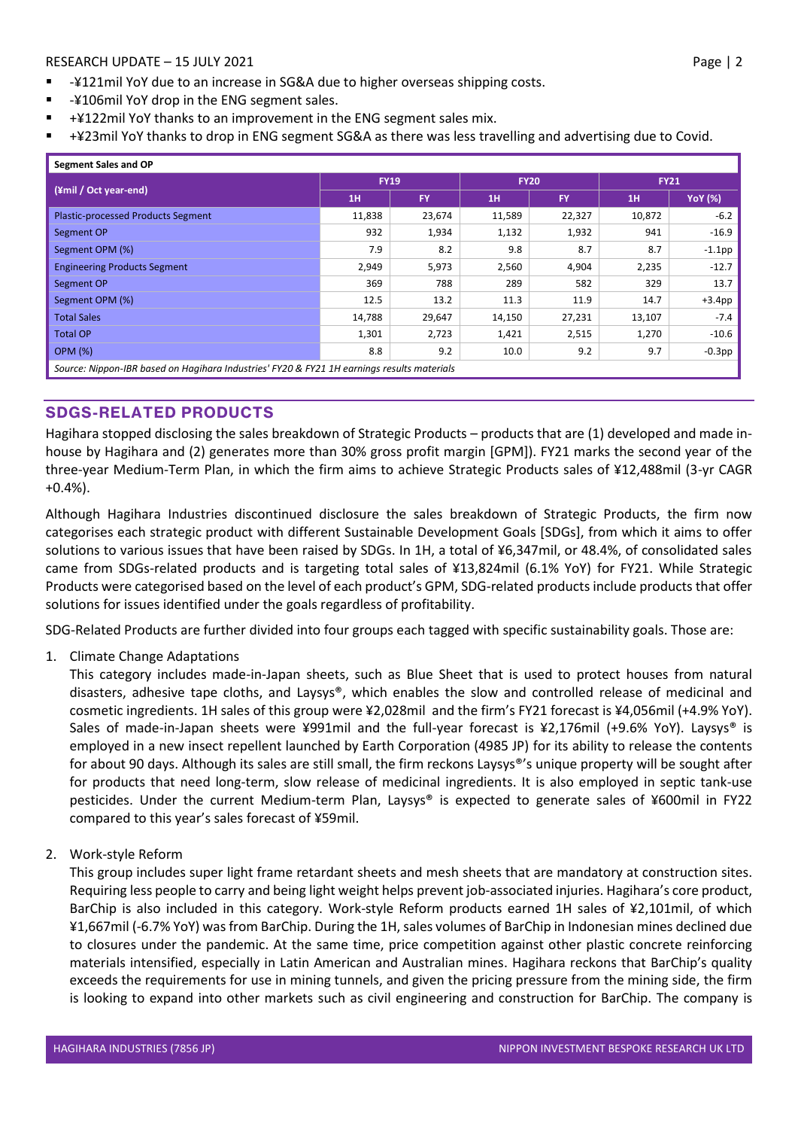- -¥121mil YoY due to an increase in SG&A due to higher overseas shipping costs.
- -¥106mil YoY drop in the ENG segment sales.
- +¥122mil YoY thanks to an improvement in the ENG segment sales mix.
- +¥23mil YoY thanks to drop in ENG segment SG&A as there was less travelling and advertising due to Covid.

| Segment Sales and OP                                                                       |             |        |             |           |             |                |  |  |
|--------------------------------------------------------------------------------------------|-------------|--------|-------------|-----------|-------------|----------------|--|--|
|                                                                                            | <b>FY19</b> |        | <b>FY20</b> |           | <b>FY21</b> |                |  |  |
| (¥mil / Oct year-end)                                                                      | 1H          | FY.    | 1H          | <b>FY</b> | 1H          | <b>YoY</b> (%) |  |  |
| <b>Plastic-processed Products Segment</b>                                                  | 11,838      | 23,674 | 11,589      | 22,327    | 10,872      | $-6.2$         |  |  |
| Segment OP                                                                                 | 932         | 1,934  | 1,132       | 1,932     | 941         | $-16.9$        |  |  |
| Segment OPM (%)                                                                            | 7.9         | 8.2    | 9.8         | 8.7       | 8.7         | $-1.1$ pp      |  |  |
| <b>Engineering Products Segment</b>                                                        | 2,949       | 5,973  | 2,560       | 4,904     | 2,235       | $-12.7$        |  |  |
| Segment OP                                                                                 | 369         | 788    | 289         | 582       | 329         | 13.7           |  |  |
| Segment OPM (%)                                                                            | 12.5        | 13.2   | 11.3        | 11.9      | 14.7        | $+3.4pp$       |  |  |
| <b>Total Sales</b>                                                                         | 14,788      | 29,647 | 14,150      | 27,231    | 13,107      | $-7.4$         |  |  |
| <b>Total OP</b>                                                                            | 1,301       | 2,723  | 1,421       | 2,515     | 1,270       | $-10.6$        |  |  |
| <b>OPM (%)</b>                                                                             | 8.8         | 9.2    | 10.0        | 9.2       | 9.7         | $-0.3$ pp      |  |  |
| Source: Nippon-IBR based on Hagihara Industries' FY20 & FY21 1H earnings results materials |             |        |             |           |             |                |  |  |

# **SDGS-RELATED PRODUCTS**

Hagihara stopped disclosing the sales breakdown of Strategic Products – products that are (1) developed and made inhouse by Hagihara and (2) generates more than 30% gross profit margin [GPM]). FY21 marks the second year of the three-year Medium-Term Plan, in which the firm aims to achieve Strategic Products sales of ¥12,488mil (3-yr CAGR +0.4%).

Although Hagihara Industries discontinued disclosure the sales breakdown of Strategic Products, the firm now categorises each strategic product with different Sustainable Development Goals [SDGs], from which it aims to offer solutions to various issues that have been raised by SDGs. In 1H, a total of ¥6,347mil, or 48.4%, of consolidated sales came from SDGs-related products and is targeting total sales of ¥13,824mil (6.1% YoY) for FY21. While Strategic Products were categorised based on the level of each product's GPM, SDG-related products include products that offer solutions for issues identified under the goals regardless of profitability.

SDG-Related Products are further divided into four groups each tagged with specific sustainability goals. Those are:

1. Climate Change Adaptations

This category includes made-in-Japan sheets, such as Blue Sheet that is used to protect houses from natural disasters, adhesive tape cloths, and Laysys®, which enables the slow and controlled release of medicinal and cosmetic ingredients. 1H sales of this group were ¥2,028mil and the firm's FY21 forecast is ¥4,056mil (+4.9% YoY). Sales of made-in-Japan sheets were ¥991mil and the full-year forecast is ¥2,176mil (+9.6% YoY). Laysys® is employed in a new insect repellent launched by Earth Corporation (4985 JP) for its ability to release the contents for about 90 days. Although its sales are still small, the firm reckons Laysys®'s unique property will be sought after for products that need long-term, slow release of medicinal ingredients. It is also employed in septic tank-use pesticides. Under the current Medium-term Plan, Laysys® is expected to generate sales of ¥600mil in FY22 compared to this year's sales forecast of ¥59mil.

2. Work-style Reform

This group includes super light frame retardant sheets and mesh sheets that are mandatory at construction sites. Requiring less people to carry and being light weight helps prevent job-associated injuries. Hagihara's core product, BarChip is also included in this category. Work-style Reform products earned 1H sales of ¥2,101mil, of which ¥1,667mil (-6.7% YoY) was from BarChip. During the 1H, sales volumes of BarChip in Indonesian mines declined due to closures under the pandemic. At the same time, price competition against other plastic concrete reinforcing materials intensified, especially in Latin American and Australian mines. Hagihara reckons that BarChip's quality exceeds the requirements for use in mining tunnels, and given the pricing pressure from the mining side, the firm is looking to expand into other markets such as civil engineering and construction for BarChip. The company is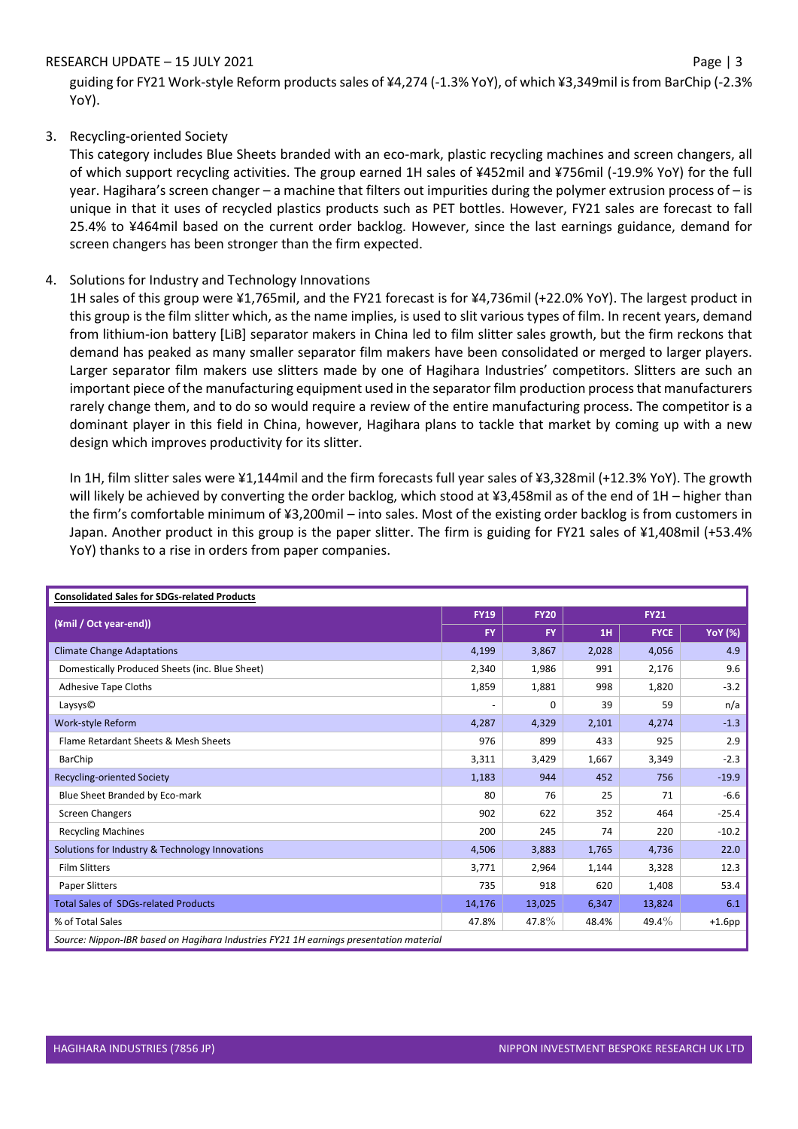guiding for FY21 Work-style Reform products sales of ¥4,274 (-1.3% YoY), of which ¥3,349mil is from BarChip (-2.3% YoY).

# 3. Recycling-oriented Society

This category includes Blue Sheets branded with an eco-mark, plastic recycling machines and screen changers, all of which support recycling activities. The group earned 1H sales of ¥452mil and ¥756mil (-19.9% YoY) for the full year. Hagihara's screen changer – a machine that filters out impurities during the polymer extrusion process of – is unique in that it uses of recycled plastics products such as PET bottles. However, FY21 sales are forecast to fall 25.4% to ¥464mil based on the current order backlog. However, since the last earnings guidance, demand for screen changers has been stronger than the firm expected.

### 4. Solutions for Industry and Technology Innovations

1H sales of this group were ¥1,765mil, and the FY21 forecast is for ¥4,736mil (+22.0% YoY). The largest product in this group is the film slitter which, as the name implies, is used to slit various types of film. In recent years, demand from lithium-ion battery [LiB] separator makers in China led to film slitter sales growth, but the firm reckons that demand has peaked as many smaller separator film makers have been consolidated or merged to larger players. Larger separator film makers use slitters made by one of Hagihara Industries' competitors. Slitters are such an important piece of the manufacturing equipment used in the separator film production processthat manufacturers rarely change them, and to do so would require a review of the entire manufacturing process. The competitor is a dominant player in this field in China, however, Hagihara plans to tackle that market by coming up with a new design which improves productivity for its slitter.

In 1H, film slitter sales were ¥1,144mil and the firm forecasts full year sales of ¥3,328mil (+12.3% YoY). The growth will likely be achieved by converting the order backlog, which stood at ¥3,458mil as of the end of 1H – higher than the firm's comfortable minimum of ¥3,200mil – into sales. Most of the existing order backlog is from customers in Japan. Another product in this group is the paper slitter. The firm is guiding for FY21 sales of ¥1,408mil (+53.4% YoY) thanks to a rise in orders from paper companies.

| <b>Consolidated Sales for SDGs-related Products</b>                                    |           |             |             |             |                |  |  |
|----------------------------------------------------------------------------------------|-----------|-------------|-------------|-------------|----------------|--|--|
|                                                                                        |           | <b>FY20</b> | <b>FY21</b> |             |                |  |  |
| (¥mil / Oct year-end))                                                                 | <b>FY</b> | <b>FY</b>   | 1H          | <b>FYCE</b> | <b>YoY</b> (%) |  |  |
| <b>Climate Change Adaptations</b>                                                      | 4,199     | 3,867       | 2,028       | 4,056       | 4.9            |  |  |
| Domestically Produced Sheets (inc. Blue Sheet)                                         | 2,340     | 1,986       | 991         | 2,176       | 9.6            |  |  |
| Adhesive Tape Cloths                                                                   | 1,859     | 1,881       | 998         | 1,820       | $-3.2$         |  |  |
| Laysys <sup>©</sup>                                                                    |           | $\Omega$    | 39          | 59          | n/a            |  |  |
| Work-style Reform                                                                      | 4,287     | 4,329       | 2,101       | 4,274       | $-1.3$         |  |  |
| Flame Retardant Sheets & Mesh Sheets                                                   | 976       | 899         | 433         | 925         | 2.9            |  |  |
| <b>BarChip</b>                                                                         | 3,311     | 3,429       | 1,667       | 3,349       | $-2.3$         |  |  |
| <b>Recycling-oriented Society</b>                                                      | 1,183     | 944         | 452         | 756         | $-19.9$        |  |  |
| Blue Sheet Branded by Eco-mark                                                         | 80        | 76          | 25          | 71          | $-6.6$         |  |  |
| Screen Changers                                                                        | 902       | 622         | 352         | 464         | $-25.4$        |  |  |
| <b>Recycling Machines</b>                                                              | 200       | 245         | 74          | 220         | $-10.2$        |  |  |
| Solutions for Industry & Technology Innovations                                        | 4,506     | 3,883       | 1,765       | 4,736       | 22.0           |  |  |
| <b>Film Slitters</b>                                                                   | 3,771     | 2,964       | 1,144       | 3,328       | 12.3           |  |  |
| <b>Paper Slitters</b>                                                                  | 735       | 918         | 620         | 1,408       | 53.4           |  |  |
| <b>Total Sales of SDGs-related Products</b>                                            | 14,176    | 13,025      | 6,347       | 13,824      | 6.1            |  |  |
| % of Total Sales                                                                       | 47.8%     | 47.8%       | 48.4%       | $49.4\%$    | $+1.6$ pp      |  |  |
| Source: Nippon-IBR based on Hagihara Industries FY21 1H earnings presentation material |           |             |             |             |                |  |  |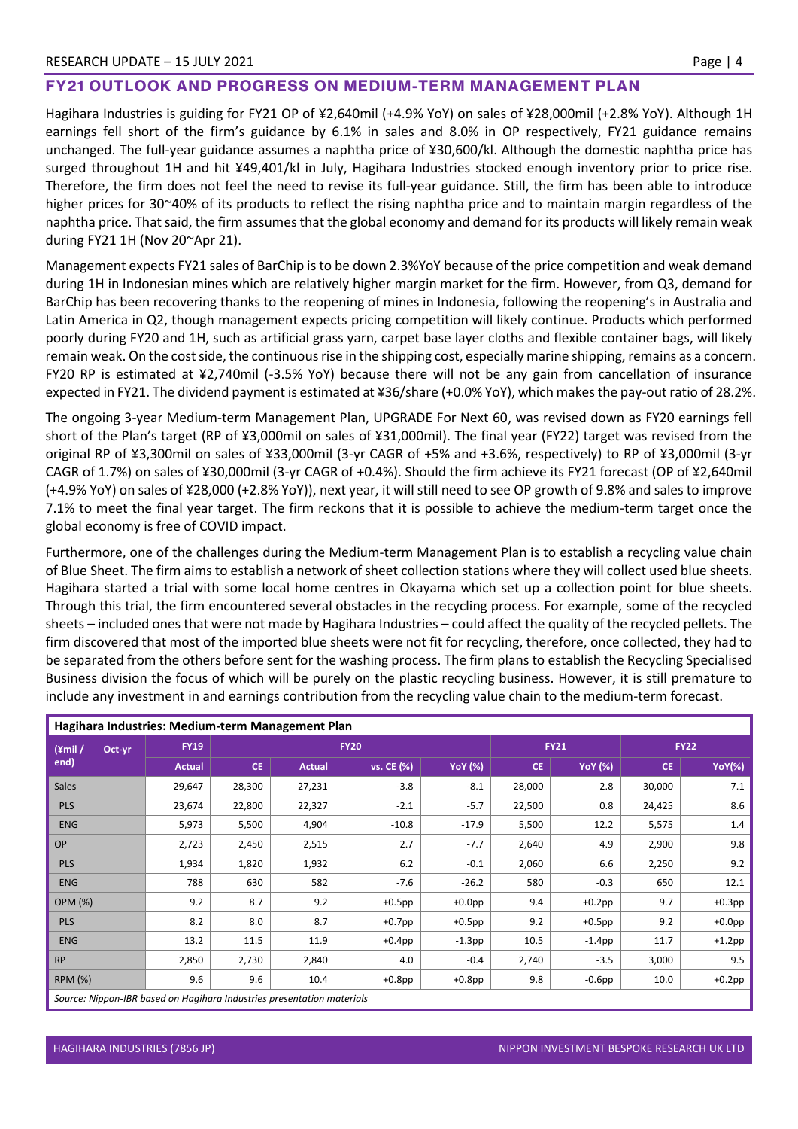### **FY21 OUTLOOK AND PROGRESS ON MEDIUM-TERM MANAGEMENT PLAN**

Hagihara Industries is guiding for FY21 OP of ¥2,640mil (+4.9% YoY) on sales of ¥28,000mil (+2.8% YoY). Although 1H earnings fell short of the firm's guidance by 6.1% in sales and 8.0% in OP respectively, FY21 guidance remains unchanged. The full-year guidance assumes a naphtha price of ¥30,600/kl. Although the domestic naphtha price has surged throughout 1H and hit ¥49,401/kl in July, Hagihara Industries stocked enough inventory prior to price rise. Therefore, the firm does not feel the need to revise its full-year guidance. Still, the firm has been able to introduce higher prices for 30~40% of its products to reflect the rising naphtha price and to maintain margin regardless of the naphtha price. That said, the firm assumes that the global economy and demand for its products will likely remain weak during FY21 1H (Nov 20~Apr 21).

Management expects FY21 sales of BarChip is to be down 2.3%YoY because of the price competition and weak demand during 1H in Indonesian mines which are relatively higher margin market for the firm. However, from Q3, demand for BarChip has been recovering thanks to the reopening of mines in Indonesia, following the reopening's in Australia and Latin America in Q2, though management expects pricing competition will likely continue. Products which performed poorly during FY20 and 1H, such as artificial grass yarn, carpet base layer cloths and flexible container bags, will likely remain weak. On the cost side, the continuous rise in the shipping cost, especially marine shipping, remains as a concern. FY20 RP is estimated at ¥2,740mil (-3.5% YoY) because there will not be any gain from cancellation of insurance expected in FY21. The dividend payment is estimated at ¥36/share (+0.0% YoY), which makes the pay-out ratio of 28.2%.

The ongoing 3-year Medium-term Management Plan, UPGRADE For Next 60, was revised down as FY20 earnings fell short of the Plan's target (RP of ¥3,000mil on sales of ¥31,000mil). The final year (FY22) target was revised from the original RP of ¥3,300mil on sales of ¥33,000mil (3-yr CAGR of +5% and +3.6%, respectively) to RP of ¥3,000mil (3-yr CAGR of 1.7%) on sales of ¥30,000mil (3-yr CAGR of +0.4%). Should the firm achieve its FY21 forecast (OP of ¥2,640mil (+4.9% YoY) on sales of ¥28,000 (+2.8% YoY)), next year, it will still need to see OP growth of 9.8% and sales to improve 7.1% to meet the final year target. The firm reckons that it is possible to achieve the medium-term target once the global economy is free of COVID impact.

Furthermore, one of the challenges during the Medium-term Management Plan is to establish a recycling value chain of Blue Sheet. The firm aims to establish a network of sheet collection stations where they will collect used blue sheets. Hagihara started a trial with some local home centres in Okayama which set up a collection point for blue sheets. Through this trial, the firm encountered several obstacles in the recycling process. For example, some of the recycled sheets – included ones that were not made by Hagihara Industries – could affect the quality of the recycled pellets. The firm discovered that most of the imported blue sheets were not fit for recycling, therefore, once collected, they had to be separated from the others before sent for the washing process. The firm plans to establish the Recycling Specialised Business division the focus of which will be purely on the plastic recycling business. However, it is still premature to include any investment in and earnings contribution from the recycling value chain to the medium-term forecast.

| Hagihara Industries: Medium-term Management Plan |               |             |               |            |                |             |                |             |               |
|--------------------------------------------------|---------------|-------------|---------------|------------|----------------|-------------|----------------|-------------|---------------|
| $(\text{2cm})$<br>Oct-yr<br>end)                 | <b>FY19</b>   | <b>FY20</b> |               |            |                | <b>FY21</b> |                | <b>FY22</b> |               |
|                                                  | <b>Actual</b> | <b>CE</b>   | <b>Actual</b> | vs. CE (%) | <b>YoY</b> (%) | <b>CE</b>   | <b>YoY</b> (%) | <b>CE</b>   | <b>YoY(%)</b> |
| <b>Sales</b>                                     | 29,647        | 28,300      | 27,231        | $-3.8$     | $-8.1$         | 28,000      | 2.8            | 30,000      | 7.1           |
| <b>PLS</b>                                       | 23,674        | 22,800      | 22,327        | $-2.1$     | $-5.7$         | 22,500      | 0.8            | 24,425      | 8.6           |
| <b>ENG</b>                                       | 5,973         | 5,500       | 4,904         | $-10.8$    | $-17.9$        | 5,500       | 12.2           | 5,575       | 1.4           |
| <b>OP</b>                                        | 2,723         | 2,450       | 2,515         | 2.7        | $-7.7$         | 2,640       | 4.9            | 2,900       | 9.8           |
| <b>PLS</b>                                       | 1,934         | 1,820       | 1,932         | $6.2$      | $-0.1$         | 2,060       | 6.6            | 2,250       | 9.2           |
| <b>ENG</b>                                       | 788           | 630         | 582           | $-7.6$     | $-26.2$        | 580         | $-0.3$         | 650         | 12.1          |
| <b>OPM (%)</b>                                   | 9.2           | 8.7         | 9.2           | $+0.5$ pp  | $+0.0$ pp      | 9.4         | $+0.2$ pp      | 9.7         | $+0.3$ pp     |
| <b>PLS</b>                                       | 8.2           | 8.0         | 8.7           | $+0.7$ pp  | $+0.5$ pp      | 9.2         | $+0.5$ pp      | 9.2         | $+0.0$ pp     |
| <b>ENG</b>                                       | 13.2          | 11.5        | 11.9          | $+0.4$ pp  | $-1.3$ pp      | 10.5        | $-1.4$ pp      | 11.7        | $+1.2$ pp     |
| <b>RP</b>                                        | 2,850         | 2,730       | 2,840         | 4.0        | $-0.4$         | 2,740       | $-3.5$         | 3,000       | 9.5           |
| <b>RPM (%)</b>                                   | 9.6           | 9.6         | 10.4          | $+0.8$ pp  | $+0.8$ pp      | 9.8         | $-0.6$ pp      | 10.0        | $+0.2$ pp     |
|                                                  |               |             |               |            |                |             |                |             |               |

*Source: Nippon-IBR based on Hagihara Industries presentation materials*